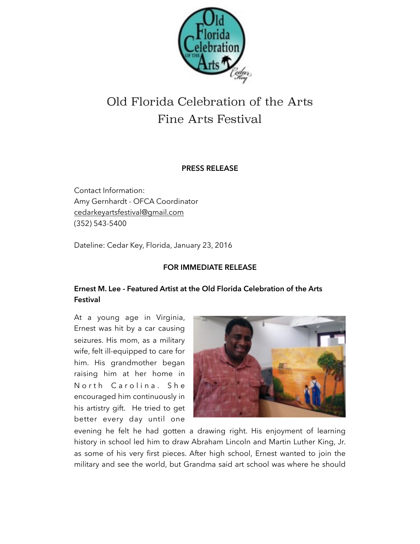

## Old Florida Celebration of the Arts Fine Arts Festival

## **PRESS RELEASE**

Contact Information: Amy Gernhardt - OFCA Coordinator [cedarkeyartsfestival@gmail.com](mailto:cedarkeyartsfestival@gmail.com) (352) 543-5400

Dateline: Cedar Key, Florida, January 23, 2016

## **FOR IMMEDIATE RELEASE**

## **Ernest M. Lee - Featured Artist at the Old Florida Celebration of the Arts Festival**

At a young age in Virginia, Ernest was hit by a car causing seizures. His mom, as a military wife, felt ill-equipped to care for him. His grandmother began raising him at her home in North Carolina. She encouraged him continuously in his artistry gift. He tried to get better every day until one



evening he felt he had gotten a drawing right. His enjoyment of learning history in school led him to draw Abraham Lincoln and Martin Luther King, Jr. as some of his very first pieces. After high school, Ernest wanted to join the military and see the world, but Grandma said art school was where he should